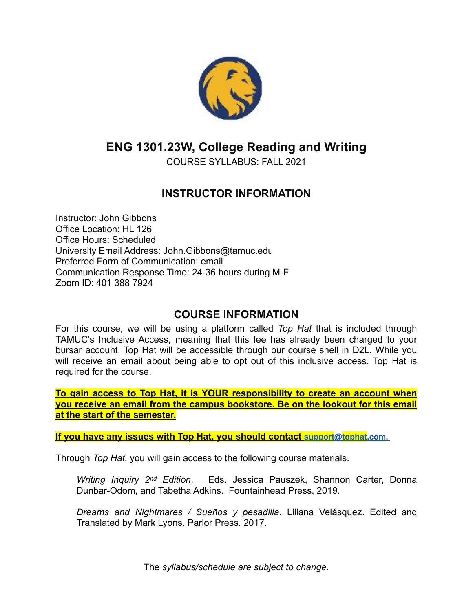

# **ENG 1301.23W, College Reading and Writing**

COURSE SYLLABUS: FALL 2021

# **INSTRUCTOR INFORMATION**

Instructor: John Gibbons Office Location: HL 126 Office Hours: Scheduled University Email Address: John.Gibbons@tamuc.edu Preferred Form of Communication: email Communication Response Time: 24-36 hours during M-F Zoom ID: 401 388 7924

### **COURSE INFORMATION**

For this course, we will be using a platform called *Top Hat* that is included through TAMUC's Inclusive Access, meaning that this fee has already been charged to your bursar account. Top Hat will be accessible through our course shell in D2L. While you will receive an email about being able to opt out of this inclusive access, Top Hat is required for the course.

**To gain access to Top Hat, it is YOUR responsibility to create an account when you receive an email from the campus bookstore. Be on the lookout for this email at the start of the semester.** 

**If you have any issues with Top Hat, you should contact [support@tophat.com.](mailto:support@tophat.com)** 

Through *Top Hat,* you will gain access to the following course materials.

*Writing Inquiry 2nd Edition*. Eds. Jessica Pauszek, Shannon Carter, Donna Dunbar-Odom, and Tabetha Adkins. Fountainhead Press, 2019.

*Dreams and Nightmares / Sueños y pesadilla*. Liliana Velásquez. Edited and Translated by Mark Lyons. Parlor Press. 2017.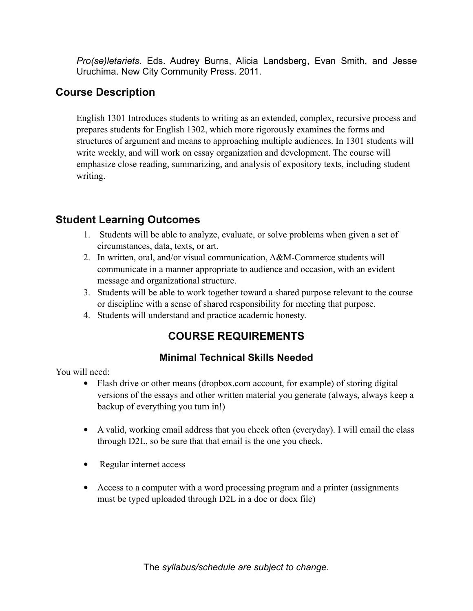*Pro(se)letariets.* Eds. Audrey Burns, Alicia Landsberg, Evan Smith, and Jesse Uruchima. New City Community Press. 2011.

# **Course Description**

English 1301 Introduces students to writing as an extended, complex, recursive process and prepares students for English 1302, which more rigorously examines the forms and structures of argument and means to approaching multiple audiences. In 1301 students will write weekly, and will work on essay organization and development. The course will emphasize close reading, summarizing, and analysis of expository texts, including student writing.

# **Student Learning Outcomes**

- 1. Students will be able to analyze, evaluate, or solve problems when given a set of circumstances, data, texts, or art.
- 2. In written, oral, and/or visual communication, A&M-Commerce students will communicate in a manner appropriate to audience and occasion, with an evident message and organizational structure.
- 3. Students will be able to work together toward a shared purpose relevant to the course or discipline with a sense of shared responsibility for meeting that purpose.
- 4. Students will understand and practice academic honesty.

# **COURSE REQUIREMENTS**

#### **Minimal Technical Skills Needed**

You will need:

- Flash drive or other means (dropbox.com account, for example) of storing digital versions of the essays and other written material you generate (always, always keep a backup of everything you turn in!)
- A valid, working email address that you check often (everyday). I will email the class through D2L, so be sure that that email is the one you check.
- Regular internet access
- Access to a computer with a word processing program and a printer (assignments must be typed uploaded through D2L in a doc or docx file)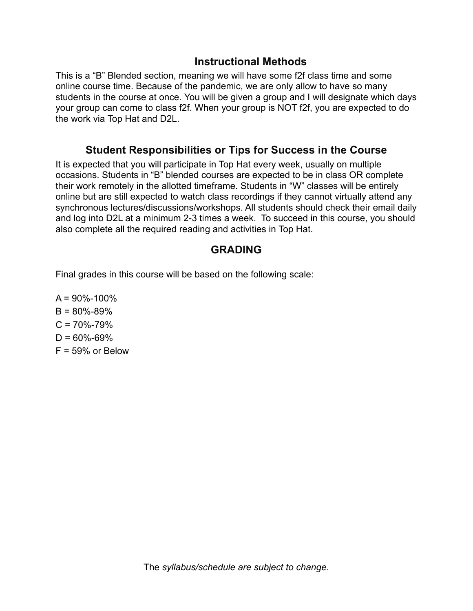#### **Instructional Methods**

This is a "B" Blended section, meaning we will have some f2f class time and some online course time. Because of the pandemic, we are only allow to have so many students in the course at once. You will be given a group and I will designate which days your group can come to class f2f. When your group is NOT f2f, you are expected to do the work via Top Hat and D2L.

#### **Student Responsibilities or Tips for Success in the Course**

It is expected that you will participate in Top Hat every week, usually on multiple occasions. Students in "B" blended courses are expected to be in class OR complete their work remotely in the allotted timeframe. Students in "W" classes will be entirely online but are still expected to watch class recordings if they cannot virtually attend any synchronous lectures/discussions/workshops. All students should check their email daily and log into D2L at a minimum 2-3 times a week. To succeed in this course, you should also complete all the required reading and activities in Top Hat.

# **GRADING**

Final grades in this course will be based on the following scale:

 $A = 90\% - 100\%$  $B = 80\% - 89\%$  $C = 70\% - 79\%$  $D = 60\% - 69\%$  $F = 59\%$  or Below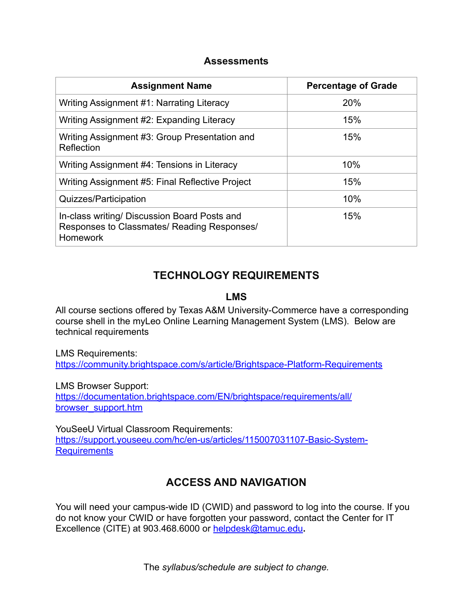#### **Assessments**

| <b>Assignment Name</b>                                                                                         | <b>Percentage of Grade</b> |
|----------------------------------------------------------------------------------------------------------------|----------------------------|
| Writing Assignment #1: Narrating Literacy                                                                      | 20%                        |
| Writing Assignment #2: Expanding Literacy                                                                      | 15%                        |
| Writing Assignment #3: Group Presentation and<br>Reflection                                                    | 15%                        |
| Writing Assignment #4: Tensions in Literacy                                                                    | 10%                        |
| Writing Assignment #5: Final Reflective Project                                                                | 15%                        |
| Quizzes/Participation                                                                                          | 10%                        |
| In-class writing/ Discussion Board Posts and<br>Responses to Classmates/ Reading Responses/<br><b>Homework</b> | 15%                        |

# **TECHNOLOGY REQUIREMENTS**

#### **LMS**

All course sections offered by Texas A&M University-Commerce have a corresponding course shell in the myLeo Online Learning Management System (LMS). Below are technical requirements

LMS Requirements: <https://community.brightspace.com/s/article/Brightspace-Platform-Requirements>

LMS Browser Support: [https://documentation.brightspace.com/EN/brightspace/requirements/all/](https://documentation.brightspace.com/EN/brightspace/requirements/all/browser_support.htm) [browser\\_support.htm](https://documentation.brightspace.com/EN/brightspace/requirements/all/browser_support.htm)

YouSeeU Virtual Classroom Requirements: [https://support.youseeu.com/hc/en-us/articles/115007031107-Basic-System-](https://support.youseeu.com/hc/en-us/articles/115007031107-Basic-System-Requirements)**[Requirements](https://support.youseeu.com/hc/en-us/articles/115007031107-Basic-System-Requirements)** 

# **ACCESS AND NAVIGATION**

You will need your campus-wide ID (CWID) and password to log into the course. If you do not know your CWID or have forgotten your password, contact the Center for IT Excellence (CITE) at 903.468.6000 or [helpdesk@tamuc.edu](mailto:helpdesk@tamuc.edu)**.**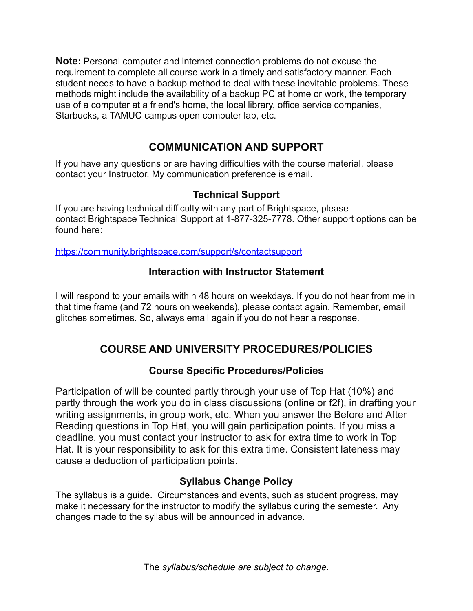**Note:** Personal computer and internet connection problems do not excuse the requirement to complete all course work in a timely and satisfactory manner. Each student needs to have a backup method to deal with these inevitable problems. These methods might include the availability of a backup PC at home or work, the temporary use of a computer at a friend's home, the local library, office service companies, Starbucks, a TAMUC campus open computer lab, etc.

# **COMMUNICATION AND SUPPORT**

If you have any questions or are having difficulties with the course material, please contact your Instructor. My communication preference is email.

### **Technical Support**

If you are having technical difficulty with any part of Brightspace, please contact Brightspace Technical Support at 1-877-325-7778. Other support options can be found here:

<https://community.brightspace.com/support/s/contactsupport>

#### **Interaction with Instructor Statement**

I will respond to your emails within 48 hours on weekdays. If you do not hear from me in that time frame (and 72 hours on weekends), please contact again. Remember, email glitches sometimes. So, always email again if you do not hear a response.

# **COURSE AND UNIVERSITY PROCEDURES/POLICIES**

### **Course Specific Procedures/Policies**

Participation of will be counted partly through your use of Top Hat (10%) and partly through the work you do in class discussions (online or f2f), in drafting your writing assignments, in group work, etc. When you answer the Before and After Reading questions in Top Hat, you will gain participation points. If you miss a deadline, you must contact your instructor to ask for extra time to work in Top Hat. It is your responsibility to ask for this extra time. Consistent lateness may cause a deduction of participation points.

### **Syllabus Change Policy**

The syllabus is a guide. Circumstances and events, such as student progress, may make it necessary for the instructor to modify the syllabus during the semester. Any changes made to the syllabus will be announced in advance.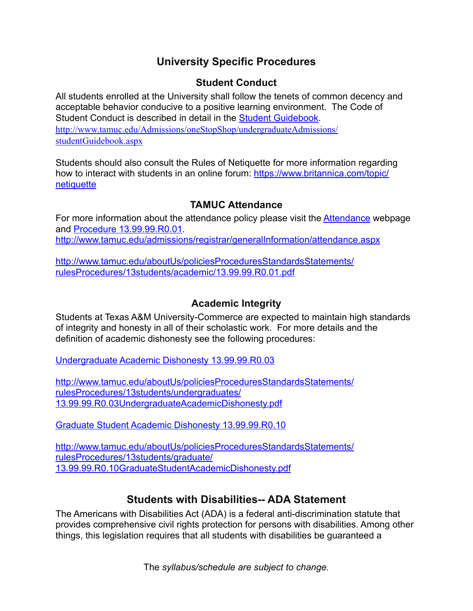# **University Specific Procedures**

#### **Student Conduct**

All students enrolled at the University shall follow the tenets of common decency and acceptable behavior conducive to a positive learning environment. The Code of Student Conduct is described in detail in the [Student Guidebook](http://www.tamuc.edu/Admissions/oneStopShop/undergraduateAdmissions/studentGuidebook.aspx). [http://www.tamuc.edu/Admissions/oneStopShop/undergraduateAdmissions/](http://www.tamuc.edu/Admissions/oneStopShop/undergraduateAdmissions/studentGuidebook.aspx) [studentGuidebook.aspx](http://www.tamuc.edu/Admissions/oneStopShop/undergraduateAdmissions/studentGuidebook.aspx)

Students should also consult the Rules of Netiquette for more information regarding how to interact with students in an online forum: [https://www.britannica.com/topic/](https://www.britannica.com/topic/netiquette) [netiquette](https://www.britannica.com/topic/netiquette)

#### **TAMUC Attendance**

For more information about the attendance policy please visit the [Attendance](http://www.tamuc.edu/admissions/registrar/generalInformation/attendance.aspx) webpage and [Procedure 13.99.99.R0.01](http://www.tamuc.edu/aboutUs/policiesProceduresStandardsStatements/rulesProcedures/13students/academic/13.99.99.R0.01.pdf). <http://www.tamuc.edu/admissions/registrar/generalInformation/attendance.aspx>

[http://www.tamuc.edu/aboutUs/policiesProceduresStandardsStatements/](http://www.tamuc.edu/aboutUs/policiesProceduresStandardsStatements/rulesProcedures/13students/academic/13.99.99.R0.01.pdf) [rulesProcedures/13students/academic/13.99.99.R0.01.pdf](http://www.tamuc.edu/aboutUs/policiesProceduresStandardsStatements/rulesProcedures/13students/academic/13.99.99.R0.01.pdf)

#### **Academic Integrity**

Students at Texas A&M University-Commerce are expected to maintain high standards of integrity and honesty in all of their scholastic work. For more details and the definition of academic dishonesty see the following procedures:

[Undergraduate Academic Dishonesty 13.99.99.R0.03](http://www.tamuc.edu/aboutUs/policiesProceduresStandardsStatements/rulesProcedures/13students/undergraduates/13.99.99.R0.03UndergraduateAcademicDishonesty.pdf)

[http://www.tamuc.edu/aboutUs/policiesProceduresStandardsStatements/](http://www.tamuc.edu/aboutUs/policiesProceduresStandardsStatements/rulesProcedures/13students/undergraduates/13.99.99.R0.03UndergraduateAcademicDishonesty.pdf) [rulesProcedures/13students/undergraduates/](http://www.tamuc.edu/aboutUs/policiesProceduresStandardsStatements/rulesProcedures/13students/undergraduates/13.99.99.R0.03UndergraduateAcademicDishonesty.pdf) [13.99.99.R0.03UndergraduateAcademicDishonesty.pdf](http://www.tamuc.edu/aboutUs/policiesProceduresStandardsStatements/rulesProcedures/13students/undergraduates/13.99.99.R0.03UndergraduateAcademicDishonesty.pdf)

[Graduate Student Academic Dishonesty 13.99.99.R0.10](http://www.tamuc.edu/aboutUs/policiesProceduresStandardsStatements/rulesProcedures/13students/graduate/13.99.99.R0.10GraduateStudentAcademicDishonesty.pdf)

[http://www.tamuc.edu/aboutUs/policiesProceduresStandardsStatements/](http://www.tamuc.edu/aboutUs/policiesProceduresStandardsStatements/rulesProcedures/13students/graduate/13.99.99.R0.10GraduateStudentAcademicDishonesty.pdf) [rulesProcedures/13students/graduate/](http://www.tamuc.edu/aboutUs/policiesProceduresStandardsStatements/rulesProcedures/13students/graduate/13.99.99.R0.10GraduateStudentAcademicDishonesty.pdf) [13.99.99.R0.10GraduateStudentAcademicDishonesty.pdf](http://www.tamuc.edu/aboutUs/policiesProceduresStandardsStatements/rulesProcedures/13students/graduate/13.99.99.R0.10GraduateStudentAcademicDishonesty.pdf)

# **Students with Disabilities-- ADA Statement**

The Americans with Disabilities Act (ADA) is a federal anti-discrimination statute that provides comprehensive civil rights protection for persons with disabilities. Among other things, this legislation requires that all students with disabilities be guaranteed a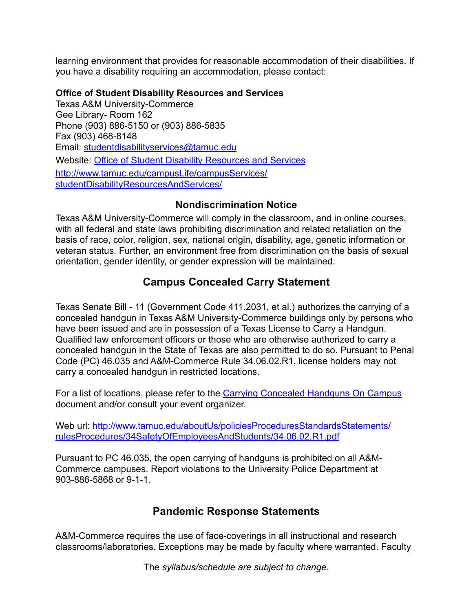learning environment that provides for reasonable accommodation of their disabilities. If you have a disability requiring an accommodation, please contact:

#### **Office of Student Disability Resources and Services**

Texas A&M University-Commerce Gee Library- Room 162 Phone (903) 886-5150 or (903) 886-5835 Fax (903) 468-8148 Email: [studentdisabilityservices@tamuc.edu](mailto:studentdisabilityservices@tamuc.edu) Website: [Office of Student Disability Resources and Services](http://www.tamuc.edu/campusLife/campusServices/studentDisabilityResourcesAndServices/) [http://www.tamuc.edu/campusLife/campusServices/](http://www.tamuc.edu/campusLife/campusServices/studentDisabilityResourcesAndServices/) [studentDisabilityResourcesAndServices/](http://www.tamuc.edu/campusLife/campusServices/studentDisabilityResourcesAndServices/)

#### **Nondiscrimination Notice**

Texas A&M University-Commerce will comply in the classroom, and in online courses, with all federal and state laws prohibiting discrimination and related retaliation on the basis of race, color, religion, sex, national origin, disability, age, genetic information or veteran status. Further, an environment free from discrimination on the basis of sexual orientation, gender identity, or gender expression will be maintained.

# **Campus Concealed Carry Statement**

Texas Senate Bill - 11 (Government Code 411.2031, et al.) authorizes the carrying of a concealed handgun in Texas A&M University-Commerce buildings only by persons who have been issued and are in possession of a Texas License to Carry a Handgun. Qualified law enforcement officers or those who are otherwise authorized to carry a concealed handgun in the State of Texas are also permitted to do so. Pursuant to Penal Code (PC) 46.035 and A&M-Commerce Rule 34.06.02.R1, license holders may not carry a concealed handgun in restricted locations.

For a list of locations, please refer to the [Carrying Concealed Handguns On Campus](http://www.tamuc.edu/aboutUs/policiesProceduresStandardsStatements/rulesProcedures/34SafetyOfEmployeesAndStudents/34.06.02.R1.pdf) document and/or consult your event organizer.

[Web url: http://www.tamuc.edu/aboutUs/policiesProceduresStandardsStatements/](http://www.tamuc.edu/aboutUs/policiesProceduresStandardsStatements/rulesProcedures/34SafetyOfEmployeesAndStudents/34.06.02.R1.pdf) [rulesProcedures/34SafetyOfEmployeesAndStudents/34.06.02.R1.pdf](http://www.tamuc.edu/aboutUs/policiesProceduresStandardsStatements/rulesProcedures/34SafetyOfEmployeesAndStudents/34.06.02.R1.pdf) 

Pursuant to PC 46.035, the open carrying of handguns is prohibited on all A&M-Commerce campuses. Report violations to the University Police Department at 903-886-5868 or 9-1-1.

### **Pandemic Response Statements**

A&M-Commerce requires the use of face-coverings in all instructional and research classrooms/laboratories. Exceptions may be made by faculty where warranted. Faculty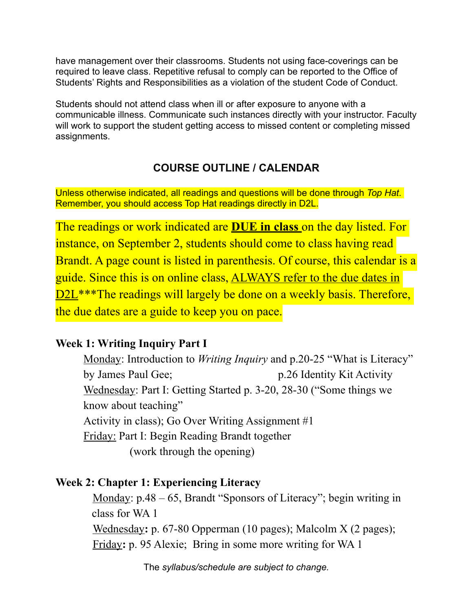have management over their classrooms. Students not using face-coverings can be required to leave class. Repetitive refusal to comply can be reported to the Office of Students' Rights and Responsibilities as a violation of the student Code of Conduct.

Students should not attend class when ill or after exposure to anyone with a communicable illness. Communicate such instances directly with your instructor. Faculty will work to support the student getting access to missed content or completing missed assignments.

# **COURSE OUTLINE / CALENDAR**

Unless otherwise indicated, all readings and questions will be done through *Top Hat*. Remember, you should access Top Hat readings directly in D2L.

The readings or work indicated are **DUE in class** on the day listed. For instance, on September 2, students should come to class having read Brandt. A page count is listed in parenthesis. Of course, this calendar is a guide. Since this is on online class, ALWAYS refer to the due dates in D2L<sup>\*\*\*</sup>The readings will largely be done on a weekly basis. Therefore, the due dates are a guide to keep you on pace.

# **Week 1: Writing Inquiry Part I**

Monday: Introduction to *Writing Inquiry* and p.20-25 "What is Literacy" by James Paul Gee; p.26 Identity Kit Activity Wednesday: Part I: Getting Started p. 3-20, 28-30 ("Some things we know about teaching" Activity in class); Go Over Writing Assignment #1 Friday: Part I: Begin Reading Brandt together (work through the opening)

# **Week 2: Chapter 1: Experiencing Literacy**

Monday: p.48 – 65, Brandt "Sponsors of Literacy"; begin writing in class for WA 1 Wednesday**:** p. 67-80 Opperman (10 pages); Malcolm X (2 pages); Friday**:** p. 95 Alexie; Bring in some more writing for WA 1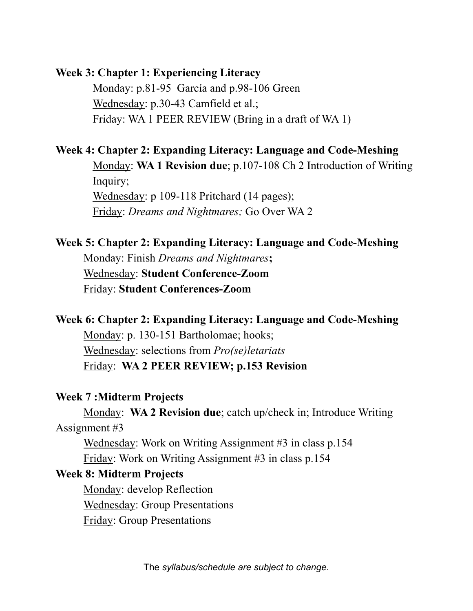### **Week 3: Chapter 1: Experiencing Literacy**

Monday: p.81-95 García and p.98-106 Green Wednesday: p.30-43 Camfield et al.; Friday: WA 1 PEER REVIEW (Bring in a draft of WA 1)

## **Week 4: Chapter 2: Expanding Literacy: Language and Code-Meshing**

Monday: **WA 1 Revision due**; p.107-108 Ch 2 Introduction of Writing Inquiry; Wednesday: p 109-118 Pritchard (14 pages); Friday: *Dreams and Nightmares;* Go Over WA 2

# **Week 5: Chapter 2: Expanding Literacy: Language and Code-Meshing** Monday: Finish *Dreams and Nightmares***;**  Wednesday: **Student Conference-Zoom**

Friday: **Student Conferences-Zoom** 

# **Week 6: Chapter 2: Expanding Literacy: Language and Code-Meshing** Monday: p. 130-151 Bartholomae; hooks; Wednesday: selections from *Pro(se)letariats*  Friday: **WA 2 PEER REVIEW; p.153 Revision**

### **Week 7 :Midterm Projects**

Monday: **WA 2 Revision due**; catch up/check in; Introduce Writing Assignment #3

Wednesday: Work on Writing Assignment #3 in class p.154 Friday: Work on Writing Assignment #3 in class p.154

# **Week 8: Midterm Projects**

Monday: develop Reflection Wednesday: Group Presentations Friday: Group Presentations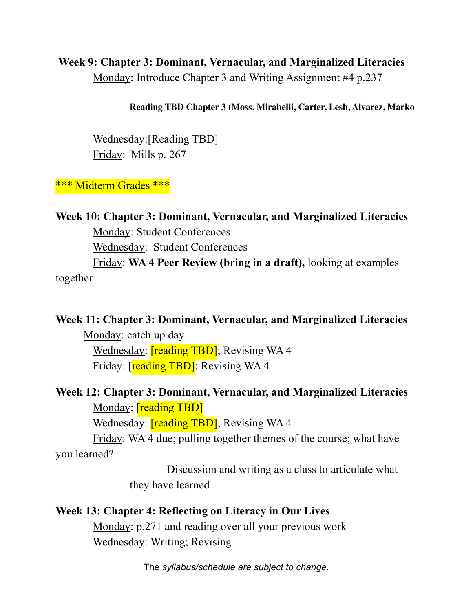# **Week 9: Chapter 3: Dominant, Vernacular, and Marginalized Literacies**  Monday: Introduce Chapter 3 and Writing Assignment #4 p.237

#### **Reading TBD Chapter 3 (Moss, Mirabelli, Carter, Lesh, Alvarez, Marko**

Wednesday:[Reading TBD] Friday: Mills p. 267

\*\*\* Midterm Grades \*\*\*

**Week 10: Chapter 3: Dominant, Vernacular, and Marginalized Literacies**  Monday: Student Conferences Wednesday: Student Conferences Friday: **WA 4 Peer Review (bring in a draft),** looking at examples

together

#### **Week 11: Chapter 3: Dominant, Vernacular, and Marginalized Literacies**

Monday: catch up day Wednesday: **[reading TBD]**; Revising WA 4 Friday: [reading TBD]; Revising WA 4

# **Week 12: Chapter 3: Dominant, Vernacular, and Marginalized Literacies** Monday: **[reading TBD]**

Wednesday: **[reading TBD]**; Revising WA 4

Friday: WA 4 due; pulling together themes of the course; what have you learned?

> Discussion and writing as a class to articulate what they have learned

#### **Week 13: Chapter 4: Reflecting on Literacy in Our Lives**

Monday: p.271 and reading over all your previous work Wednesday: Writing; Revising